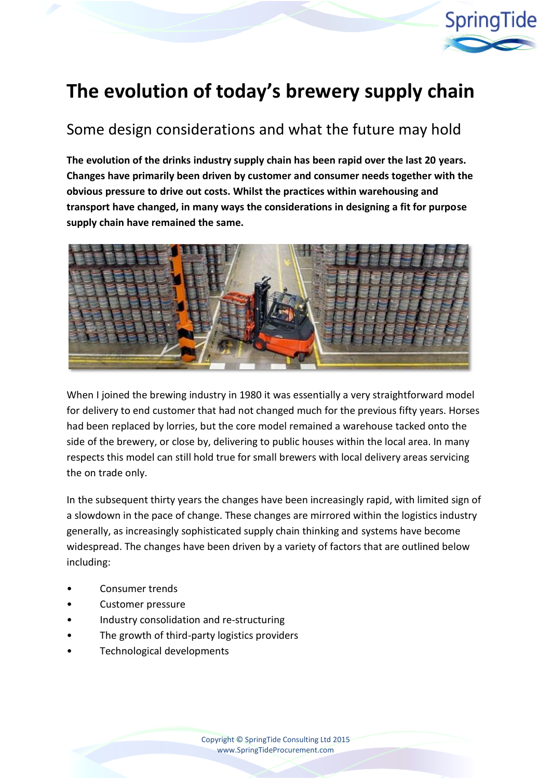

# **The evolution of today's brewery supply chain**

# Some design considerations and what the future may hold

**The evolution of the drinks industry supply chain has been rapid over the last 20 years. Changes have primarily been driven by customer and consumer needs together with the obvious pressure to drive out costs. Whilst the practices within warehousing and transport have changed, in many ways the considerations in designing a fit for purpose supply chain have remained the same.**



When I joined the brewing industry in 1980 it was essentially a very straightforward model for delivery to end customer that had not changed much for the previous fifty years. Horses had been replaced by lorries, but the core model remained a warehouse tacked onto the side of the brewery, or close by, delivering to public houses within the local area. In many respects this model can still hold true for small brewers with local delivery areas servicing the on trade only.

In the subsequent thirty years the changes have been increasingly rapid, with limited sign of a slowdown in the pace of change. These changes are mirrored within the logistics industry generally, as increasingly sophisticated supply chain thinking and systems have become widespread. The changes have been driven by a variety of factors that are outlined below including:

- Consumer trends
- Customer pressure
- Industry consolidation and re‐structuring
- The growth of third-party logistics providers
- Technological developments

Copyright © SpringTide Consulting Ltd 2015 www.SpringTideProcurement.com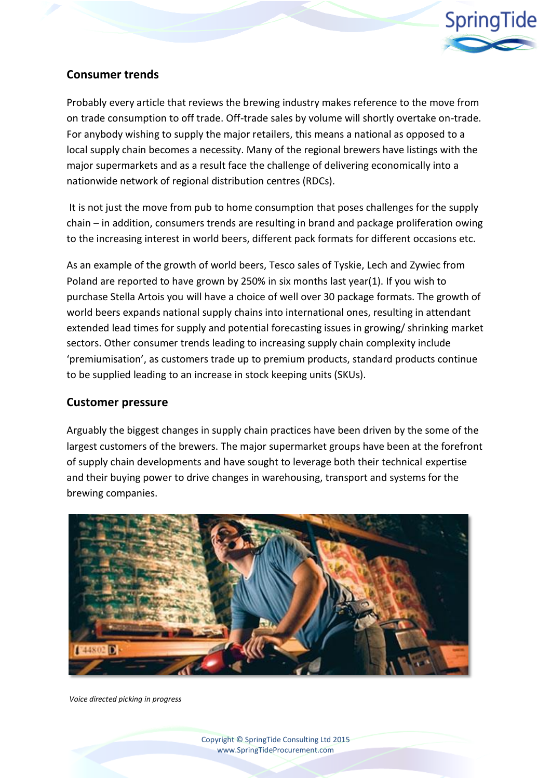

# **Consumer trends**

Probably every article that reviews the brewing industry makes reference to the move from on trade consumption to off trade. Off-trade sales by volume will shortly overtake on-trade. For anybody wishing to supply the major retailers, this means a national as opposed to a local supply chain becomes a necessity. Many of the regional brewers have listings with the major supermarkets and as a result face the challenge of delivering economically into a nationwide network of regional distribution centres (RDCs).

It is not just the move from pub to home consumption that poses challenges for the supply chain – in addition, consumers trends are resulting in brand and package proliferation owing to the increasing interest in world beers, different pack formats for different occasions etc.

As an example of the growth of world beers, Tesco sales of Tyskie, Lech and Zywiec from Poland are reported to have grown by 250% in six months last year(1). If you wish to purchase Stella Artois you will have a choice of well over 30 package formats. The growth of world beers expands national supply chains into international ones, resulting in attendant extended lead times for supply and potential forecasting issues in growing/ shrinking market sectors. Other consumer trends leading to increasing supply chain complexity include 'premiumisation', as customers trade up to premium products, standard products continue to be supplied leading to an increase in stock keeping units (SKUs).

#### **Customer pressure**

Arguably the biggest changes in supply chain practices have been driven by the some of the largest customers of the brewers. The major supermarket groups have been at the forefront of supply chain developments and have sought to leverage both their technical expertise and their buying power to drive changes in warehousing, transport and systems for the brewing companies.



*Voice directed picking in progress*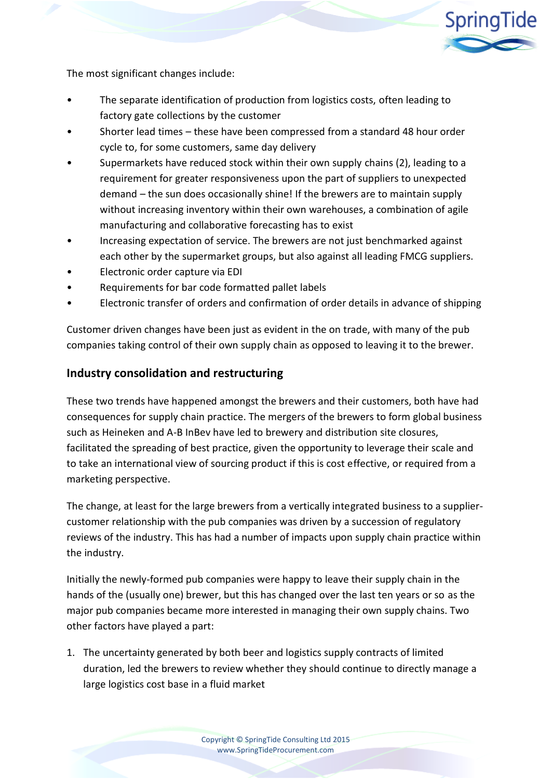

The most significant changes include:

- The separate identification of production from logistics costs, often leading to factory gate collections by the customer
- Shorter lead times these have been compressed from a standard 48 hour order cycle to, for some customers, same day delivery
- Supermarkets have reduced stock within their own supply chains (2), leading to a requirement for greater responsiveness upon the part of suppliers to unexpected demand – the sun does occasionally shine! If the brewers are to maintain supply without increasing inventory within their own warehouses, a combination of agile manufacturing and collaborative forecasting has to exist
- Increasing expectation of service. The brewers are not just benchmarked against each other by the supermarket groups, but also against all leading FMCG suppliers.
- Electronic order capture via EDI
- Requirements for bar code formatted pallet labels
- Electronic transfer of orders and confirmation of order details in advance of shipping

Customer driven changes have been just as evident in the on trade, with many of the pub companies taking control of their own supply chain as opposed to leaving it to the brewer.

### **Industry consolidation and restructuring**

These two trends have happened amongst the brewers and their customers, both have had consequences for supply chain practice. The mergers of the brewers to form global business such as Heineken and A-B InBev have led to brewery and distribution site closures, facilitated the spreading of best practice, given the opportunity to leverage their scale and to take an international view of sourcing product if this is cost effective, or required from a marketing perspective.

The change, at least for the large brewers from a vertically integrated business to a suppliercustomer relationship with the pub companies was driven by a succession of regulatory reviews of the industry. This has had a number of impacts upon supply chain practice within the industry.

Initially the newly-formed pub companies were happy to leave their supply chain in the hands of the (usually one) brewer, but this has changed over the last ten years or so as the major pub companies became more interested in managing their own supply chains. Two other factors have played a part:

1. The uncertainty generated by both beer and logistics supply contracts of limited duration, led the brewers to review whether they should continue to directly manage a large logistics cost base in a fluid market

> Copyright © SpringTide Consulting Ltd 2015 www.SpringTideProcurement.com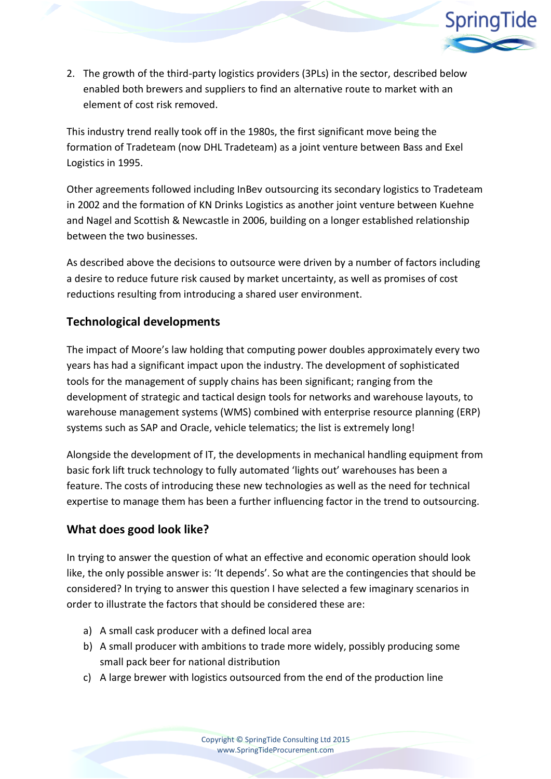

2. The growth of the third-party logistics providers (3PLs) in the sector, described below enabled both brewers and suppliers to find an alternative route to market with an element of cost risk removed.

This industry trend really took off in the 1980s, the first significant move being the formation of Tradeteam (now DHL Tradeteam) as a joint venture between Bass and Exel Logistics in 1995.

Other agreements followed including InBev outsourcing its secondary logistics to Tradeteam in 2002 and the formation of KN Drinks Logistics as another joint venture between Kuehne and Nagel and Scottish & Newcastle in 2006, building on a longer established relationship between the two businesses.

As described above the decisions to outsource were driven by a number of factors including a desire to reduce future risk caused by market uncertainty, as well as promises of cost reductions resulting from introducing a shared user environment.

# **Technological developments**

The impact of Moore's law holding that computing power doubles approximately every two years has had a significant impact upon the industry. The development of sophisticated tools for the management of supply chains has been significant; ranging from the development of strategic and tactical design tools for networks and warehouse layouts, to warehouse management systems (WMS) combined with enterprise resource planning (ERP) systems such as SAP and Oracle, vehicle telematics; the list is extremely long!

Alongside the development of IT, the developments in mechanical handling equipment from basic fork lift truck technology to fully automated 'lights out' warehouses has been a feature. The costs of introducing these new technologies as well as the need for technical expertise to manage them has been a further influencing factor in the trend to outsourcing.

#### **What does good look like?**

In trying to answer the question of what an effective and economic operation should look like, the only possible answer is: 'It depends'. So what are the contingencies that should be considered? In trying to answer this question I have selected a few imaginary scenarios in order to illustrate the factors that should be considered these are:

- a) A small cask producer with a defined local area
- b) A small producer with ambitions to trade more widely, possibly producing some small pack beer for national distribution
- c) A large brewer with logistics outsourced from the end of the production line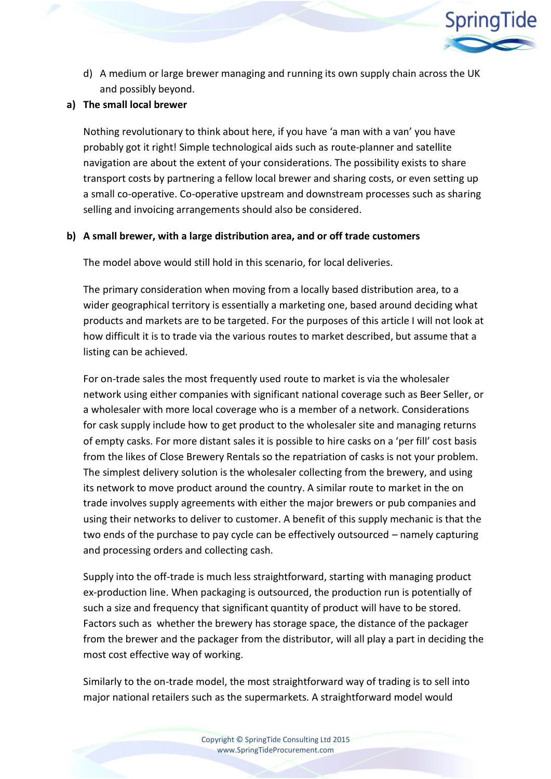

d) A medium or large brewer managing and running its own supply chain across the UK and possibly beyond.

#### **a) The small local brewer**

Nothing revolutionary to think about here, if you have 'a man with a van' you have probably got it right! Simple technological aids such as route-planner and satellite navigation are about the extent of your considerations. The possibility exists to share transport costs by partnering a fellow local brewer and sharing costs, or even setting up a small co-operative. Co-operative upstream and downstream processes such as sharing selling and invoicing arrangements should also be considered.

#### **b) A small brewer, with a large distribution area, and or off trade customers**

The model above would still hold in this scenario, for local deliveries.

The primary consideration when moving from a locally based distribution area, to a wider geographical territory is essentially a marketing one, based around deciding what products and markets are to be targeted. For the purposes of this article I will not look at how difficult it is to trade via the various routes to market described, but assume that a listing can be achieved.

For on-trade sales the most frequently used route to market is via the wholesaler network using either companies with significant national coverage such as Beer Seller, or a wholesaler with more local coverage who is a member of a network. Considerations for cask supply include how to get product to the wholesaler site and managing returns of empty casks. For more distant sales it is possible to hire casks on a 'per fill' cost basis from the likes of Close Brewery Rentals so the repatriation of casks is not your problem. The simplest delivery solution is the wholesaler collecting from the brewery, and using its network to move product around the country. A similar route to market in the on trade involves supply agreements with either the major brewers or pub companies and using their networks to deliver to customer. A benefit of this supply mechanic is that the two ends of the purchase to pay cycle can be effectively outsourced – namely capturing and processing orders and collecting cash.

Supply into the off-trade is much less straightforward, starting with managing product ex-production line. When packaging is outsourced, the production run is potentially of such a size and frequency that significant quantity of product will have to be stored. Factors such as whether the brewery has storage space, the distance of the packager from the brewer and the packager from the distributor, will all play a part in deciding the most cost effective way of working.

Similarly to the on-trade model, the most straightforward way of trading is to sell into major national retailers such as the supermarkets. A straightforward model would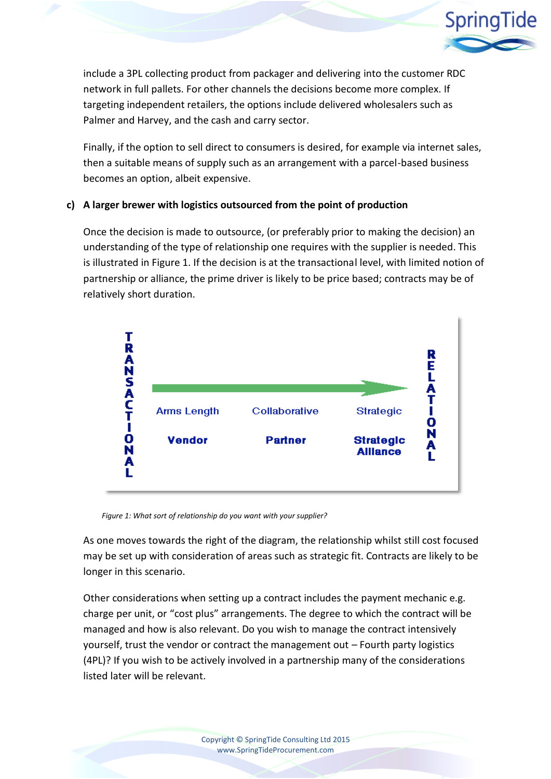

include a 3PL collecting product from packager and delivering into the customer RDC network in full pallets. For other channels the decisions become more complex. If targeting independent retailers, the options include delivered wholesalers such as Palmer and Harvey, and the cash and carry sector.

Finally, if the option to sell direct to consumers is desired, for example via internet sales, then a suitable means of supply such as an arrangement with a parcel-based business becomes an option, albeit expensive.

#### **c) A larger brewer with logistics outsourced from the point of production**

Once the decision is made to outsource, (or preferably prior to making the decision) an understanding of the type of relationship one requires with the supplier is needed. This is illustrated in Figure 1. If the decision is at the transactional level, with limited notion of partnership or alliance, the prime driver is likely to be price based; contracts may be of relatively short duration.



*Figure 1: What sort of relationship do you want with your supplier?*

As one moves towards the right of the diagram, the relationship whilst still cost focused may be set up with consideration of areas such as strategic fit. Contracts are likely to be longer in this scenario.

Other considerations when setting up a contract includes the payment mechanic e.g. charge per unit, or "cost plus" arrangements. The degree to which the contract will be managed and how is also relevant. Do you wish to manage the contract intensively yourself, trust the vendor or contract the management out – Fourth party logistics (4PL)? If you wish to be actively involved in a partnership many of the considerations listed later will be relevant.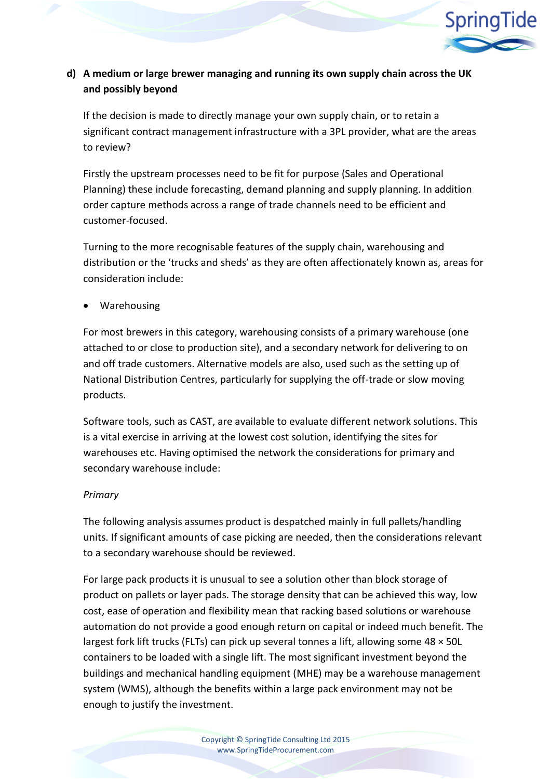

## **d) A medium or large brewer managing and running its own supply chain across the UK and possibly beyond**

If the decision is made to directly manage your own supply chain, or to retain a significant contract management infrastructure with a 3PL provider, what are the areas to review?

Firstly the upstream processes need to be fit for purpose (Sales and Operational Planning) these include forecasting, demand planning and supply planning. In addition order capture methods across a range of trade channels need to be efficient and customer-focused.

Turning to the more recognisable features of the supply chain, warehousing and distribution or the 'trucks and sheds' as they are often affectionately known as, areas for consideration include:

Warehousing

For most brewers in this category, warehousing consists of a primary warehouse (one attached to or close to production site), and a secondary network for delivering to on and off trade customers. Alternative models are also, used such as the setting up of National Distribution Centres, particularly for supplying the off-trade or slow moving products.

Software tools, such as CAST, are available to evaluate different network solutions. This is a vital exercise in arriving at the lowest cost solution, identifying the sites for warehouses etc. Having optimised the network the considerations for primary and secondary warehouse include:

#### *Primary*

The following analysis assumes product is despatched mainly in full pallets/handling units. If significant amounts of case picking are needed, then the considerations relevant to a secondary warehouse should be reviewed.

For large pack products it is unusual to see a solution other than block storage of product on pallets or layer pads. The storage density that can be achieved this way, low cost, ease of operation and flexibility mean that racking based solutions or warehouse automation do not provide a good enough return on capital or indeed much benefit. The largest fork lift trucks (FLTs) can pick up several tonnes a lift, allowing some 48 × 50L containers to be loaded with a single lift. The most significant investment beyond the buildings and mechanical handling equipment (MHE) may be a warehouse management system (WMS), although the benefits within a large pack environment may not be enough to justify the investment.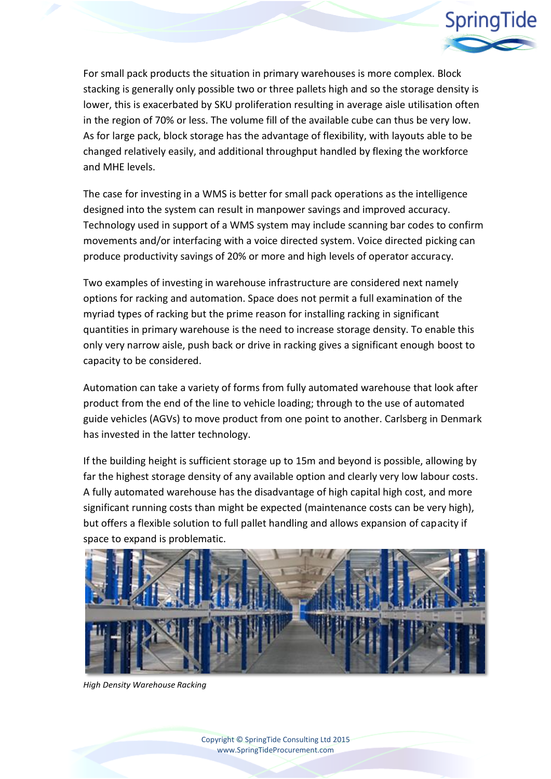

For small pack products the situation in primary warehouses is more complex. Block stacking is generally only possible two or three pallets high and so the storage density is lower, this is exacerbated by SKU proliferation resulting in average aisle utilisation often in the region of 70% or less. The volume fill of the available cube can thus be very low. As for large pack, block storage has the advantage of flexibility, with layouts able to be changed relatively easily, and additional throughput handled by flexing the workforce and MHE levels.

The case for investing in a WMS is better for small pack operations as the intelligence designed into the system can result in manpower savings and improved accuracy. Technology used in support of a WMS system may include scanning bar codes to confirm movements and/or interfacing with a voice directed system. Voice directed picking can produce productivity savings of 20% or more and high levels of operator accuracy.

Two examples of investing in warehouse infrastructure are considered next namely options for racking and automation. Space does not permit a full examination of the myriad types of racking but the prime reason for installing racking in significant quantities in primary warehouse is the need to increase storage density. To enable this only very narrow aisle, push back or drive in racking gives a significant enough boost to capacity to be considered.

Automation can take a variety of forms from fully automated warehouse that look after product from the end of the line to vehicle loading; through to the use of automated guide vehicles (AGVs) to move product from one point to another. Carlsberg in Denmark has invested in the latter technology.

If the building height is sufficient storage up to 15m and beyond is possible, allowing by far the highest storage density of any available option and clearly very low labour costs. A fully automated warehouse has the disadvantage of high capital high cost, and more significant running costs than might be expected (maintenance costs can be very high), but offers a flexible solution to full pallet handling and allows expansion of capacity if space to expand is problematic.



*High Density Warehouse Racking*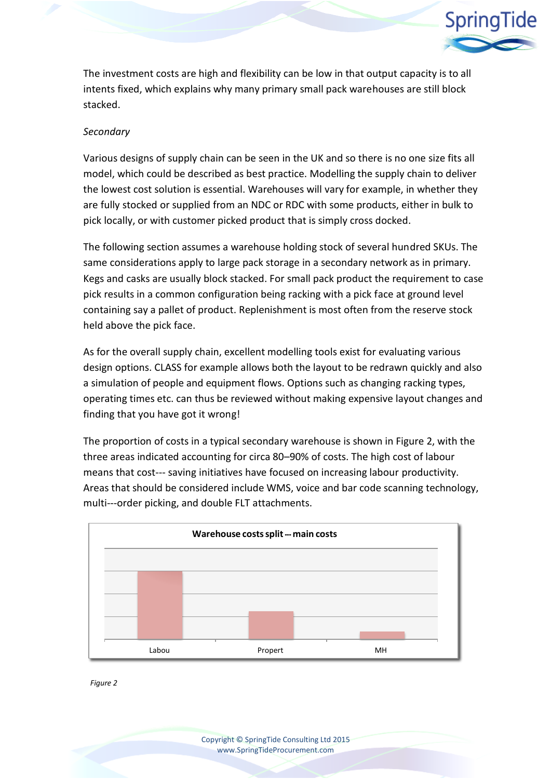

The investment costs are high and flexibility can be low in that output capacity is to all intents fixed, which explains why many primary small pack warehouses are still block stacked.

#### *Secondary*

Various designs of supply chain can be seen in the UK and so there is no one size fits all model, which could be described as best practice. Modelling the supply chain to deliver the lowest cost solution is essential. Warehouses will vary for example, in whether they are fully stocked or supplied from an NDC or RDC with some products, either in bulk to pick locally, or with customer picked product that is simply cross docked.

The following section assumes a warehouse holding stock of several hundred SKUs. The same considerations apply to large pack storage in a secondary network as in primary. Kegs and casks are usually block stacked. For small pack product the requirement to case pick results in a common configuration being racking with a pick face at ground level containing say a pallet of product. Replenishment is most often from the reserve stock held above the pick face.

As for the overall supply chain, excellent modelling tools exist for evaluating various design options. CLASS for example allows both the layout to be redrawn quickly and also a simulation of people and equipment flows. Options such as changing racking types, operating times etc. can thus be reviewed without making expensive layout changes and finding that you have got it wrong!

The proportion of costs in a typical secondary warehouse is shown in Figure 2, with the three areas indicated accounting for circa 80–90% of costs. The high cost of labour means that cost--- saving initiatives have focused on increasing labour productivity. Areas that should be considered include WMS, voice and bar code scanning technology, multi---order picking, and double FLT attachments.



*Figure 2*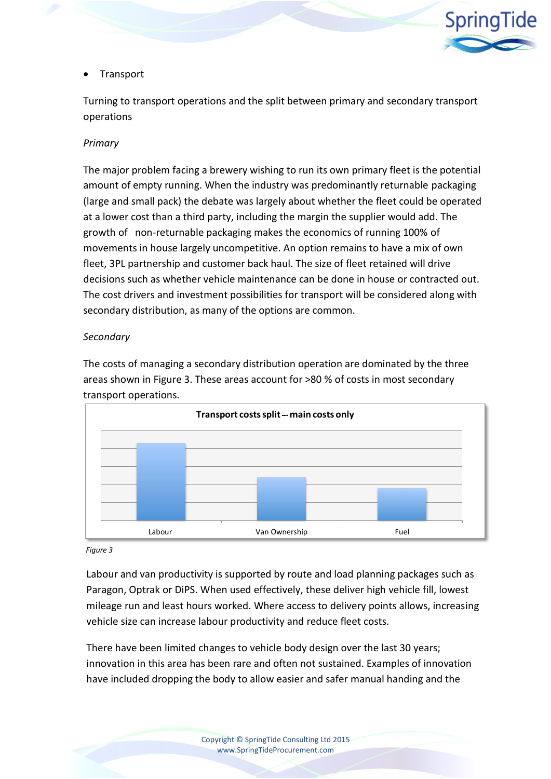

#### • Transport

Turning to transport operations and the split between primary and secondary transport operations

#### *Primary*

The major problem facing a brewery wishing to run its own primary fleet is the potential amount of empty running. When the industry was predominantly returnable packaging (large and small pack) the debate was largely about whether the fleet could be operated at a lower cost than a third party, including the margin the supplier would add. The growth of non-returnable packaging makes the economics of running 100% of movements in house largely uncompetitive. An option remains to have a mix of own fleet, 3PL partnership and customer back haul. The size of fleet retained will drive decisions such as whether vehicle maintenance can be done in house or contracted out. The cost drivers and investment possibilities for transport will be considered along with secondary distribution, as many of the options are common.

#### *Secondary*

The costs of managing a secondary distribution operation are dominated by the three areas shown in Figure 3. These areas account for >80 % of costs in most secondary transport operations.



*Figure 3*

Labour and van productivity is supported by route and load planning packages such as Paragon, Optrak or DiPS. When used effectively, these deliver high vehicle fill, lowest mileage run and least hours worked. Where access to delivery points allows, increasing vehicle size can increase labour productivity and reduce fleet costs.

There have been limited changes to vehicle body design over the last 30 years; innovation in this area has been rare and often not sustained. Examples of innovation have included dropping the body to allow easier and safer manual handing and the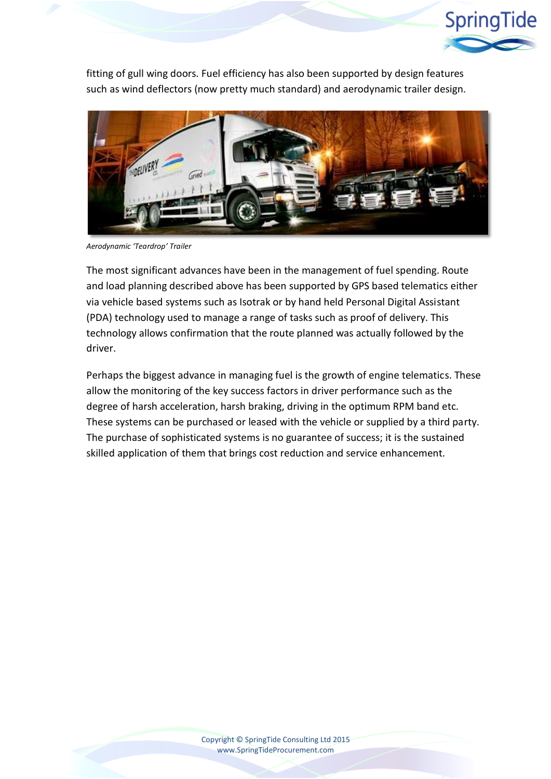

fitting of gull wing doors. Fuel efficiency has also been supported by design features such as wind deflectors (now pretty much standard) and aerodynamic trailer design.



*Aerodynamic 'Teardrop' Trailer*

The most significant advances have been in the management of fuel spending. Route and load planning described above has been supported by GPS based telematics either via vehicle based systems such as Isotrak or by hand held Personal Digital Assistant (PDA) technology used to manage a range of tasks such as proof of delivery. This technology allows confirmation that the route planned was actually followed by the driver.

Perhaps the biggest advance in managing fuel is the growth of engine telematics. These allow the monitoring of the key success factors in driver performance such as the degree of harsh acceleration, harsh braking, driving in the optimum RPM band etc. These systems can be purchased or leased with the vehicle or supplied by a third party. The purchase of sophisticated systems is no guarantee of success; it is the sustained skilled application of them that brings cost reduction and service enhancement.